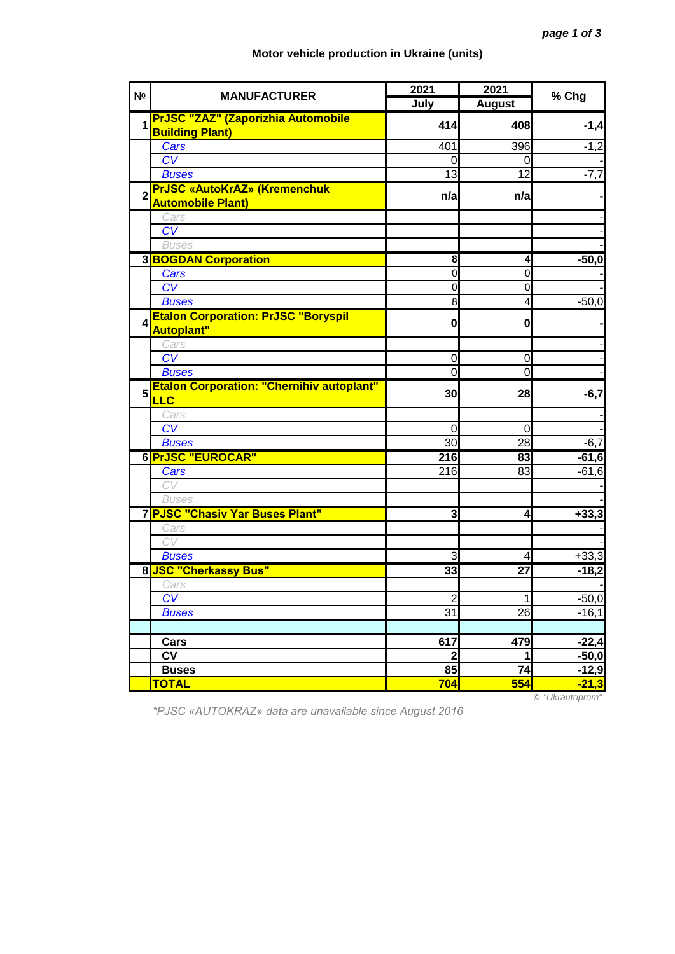## **Motor vehicle production in Ukraine (units)**

| Nº             | <b>MANUFACTURER</b>                                             | 2021            | 2021                    | % Chg   |
|----------------|-----------------------------------------------------------------|-----------------|-------------------------|---------|
|                |                                                                 | July            | <b>August</b>           |         |
| 1              | <b>PrJSC "ZAZ" (Zaporizhia Automobile</b>                       | 414             | 408                     | $-1,4$  |
|                | <b>Building Plant)</b>                                          |                 |                         |         |
|                | Cars                                                            | 401             | 396                     | $-1,2$  |
|                | CV                                                              |                 | 0                       |         |
|                | <b>Buses</b>                                                    | 13              | 12                      | $-7,7$  |
| $\overline{2}$ | <b>PrJSC «AutoKrAZ» (Kremenchuk</b><br><b>Automobile Plant)</b> | n/a             | n/a                     |         |
|                | Cars                                                            |                 |                         |         |
|                | CV                                                              |                 |                         |         |
|                | <b>Buses</b>                                                    |                 |                         |         |
|                | <b>3 BOGDAN Corporation</b>                                     | 8               | 4                       | $-50,0$ |
|                | Cars                                                            | $\mathbf 0$     | $\mathbf 0$             |         |
|                | $\overline{CV}$                                                 | $\Omega$        | $\mathbf 0$             |         |
|                | <b>Buses</b>                                                    | 8               | $\overline{\mathbf{4}}$ | $-50,0$ |
| 4              | <b>Etalon Corporation: PrJSC "Boryspil</b><br>Autoplant"        | $\mathbf{0}$    | $\mathbf{0}$            |         |
|                | Cars                                                            |                 |                         |         |
|                | $\overline{CV}$                                                 | $\mathbf 0$     | $\mathbf 0$             |         |
|                | <b>Buses</b>                                                    | $\overline{0}$  | $\overline{0}$          |         |
|                | <b>Etalon Corporation: "Chernihiv autoplant"</b>                |                 |                         |         |
| 5              | <b>LLC</b>                                                      | 30              | 28                      | $-6,7$  |
|                | Cars                                                            |                 |                         |         |
|                | $\overline{\text{CV}}$                                          | 0               | 0                       |         |
|                | <b>Buses</b>                                                    | 30              | 28                      | $-6,7$  |
|                | 6 PrJSC "EUROCAR"                                               | 216             | 83                      | $-61,6$ |
|                | Cars                                                            | 216             | 83                      | $-61,6$ |
|                | CV                                                              |                 |                         |         |
|                | <b>Buses</b>                                                    |                 |                         |         |
|                | 7 PJSC "Chasiv Yar Buses Plant"                                 | دى              | 4                       | $+33,3$ |
|                | Cars                                                            |                 |                         |         |
|                | CV                                                              |                 |                         |         |
|                | <b>Buses</b>                                                    | 3               | 4                       | $+33,3$ |
|                | 8 JSC "Cherkassy Bus"                                           | 33              | 27                      | $-18,2$ |
|                | Cars                                                            |                 |                         |         |
|                | CV                                                              | $\overline{2}$  | 1                       | $-50,0$ |
|                | <b>Buses</b>                                                    | $\overline{31}$ | 26                      | $-16,1$ |
|                |                                                                 |                 |                         |         |
|                | Cars                                                            | 617             | 479                     | $-22,4$ |
|                | <b>CV</b>                                                       | $\mathbf{2}$    | 1                       | $-50,0$ |
|                | <b>Buses</b>                                                    | 85              | 74                      | $-12,9$ |
|                | <b>TOTAL</b>                                                    | 704             | 554                     | $-21,3$ |

*\*PJSC «AUTOKRAZ» data are unavailable since August 2016*

© *"Ukrautoprom"*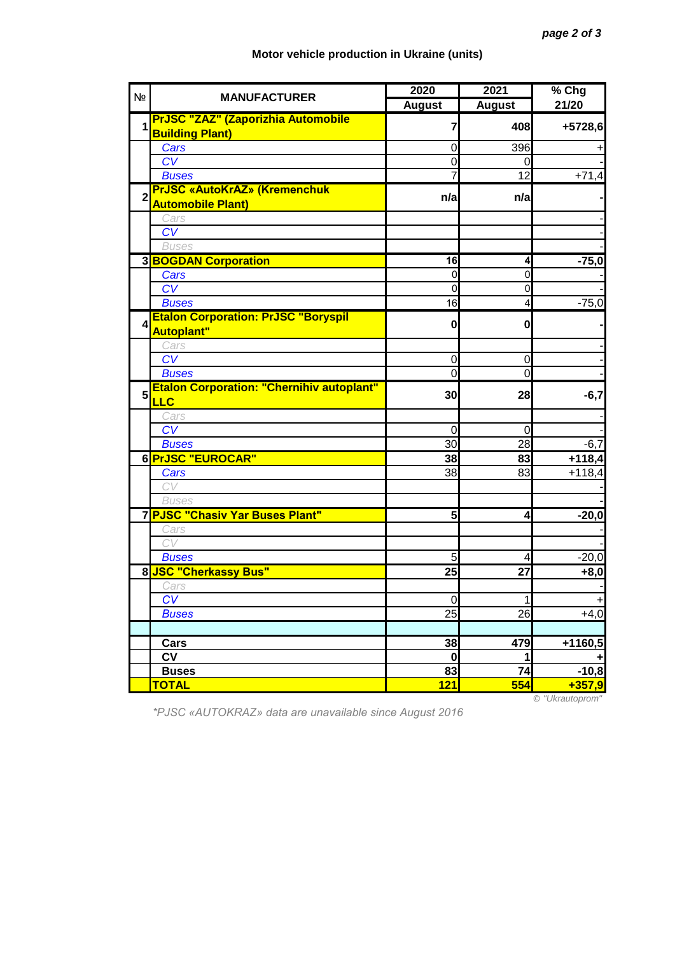## **Motor vehicle production in Ukraine (units)**

| N <sub>2</sub> | <b>MANUFACTURER</b>                                                 | 2020              | 2021                    | % Chg               |
|----------------|---------------------------------------------------------------------|-------------------|-------------------------|---------------------|
|                |                                                                     | <b>August</b>     | <b>August</b>           | 21/20               |
| 1              | <b>PrJSC "ZAZ" (Zaporizhia Automobile</b><br><b>Building Plant)</b> | 7                 | 408                     | +5728,6             |
|                | Cars                                                                | 0                 | 396                     |                     |
|                | CV                                                                  | 0                 | 0                       |                     |
|                | <b>Buses</b>                                                        |                   | 12                      | $+71,4$             |
| $\overline{2}$ | <b>PrJSC «AutoKrAZ» (Kremenchuk</b>                                 | n/a               | n/a                     |                     |
|                | <b>Automobile Plant)</b>                                            |                   |                         |                     |
|                | Cars                                                                |                   |                         |                     |
|                | CV                                                                  |                   |                         |                     |
|                | <b>Buses</b>                                                        |                   |                         |                     |
|                | <b>3 BOGDAN Corporation</b>                                         | 16                | 4                       | $-75,0$             |
|                | Cars                                                                | $\overline{0}$    | 0                       |                     |
|                | $C\overline{V}$                                                     | O<br>16           | 0                       |                     |
|                | <b>Buses</b>                                                        |                   | 4                       | $-75,0$             |
| 4              | <b>Etalon Corporation: PrJSC "Boryspil</b><br><b>Autoplant"</b>     | $\mathbf{0}$      | 0                       |                     |
|                | Cars                                                                |                   |                         |                     |
|                | CV                                                                  | 0                 | 0                       |                     |
|                | <b>Buses</b>                                                        | $\overline{0}$    | $\overline{0}$          |                     |
| 5              | <b>Etalon Corporation: "Chernihiv autoplant"</b><br><b>LLC</b>      | 30                | 28                      | $-6,7$              |
|                | Cars                                                                |                   |                         |                     |
|                | $\overline{\text{CV}}$                                              | $\overline{0}$    | $\mathbf 0$             |                     |
|                | <b>Buses</b>                                                        | 30                | 28                      | $-6,7$              |
|                | 6 PrJSC "EUROCAR"                                                   | 38                | 83                      | $+118,4$            |
|                | Cars                                                                | 38                | 83                      | $+118,4$            |
|                | CV                                                                  |                   |                         |                     |
|                | <b>Buses</b>                                                        |                   |                         |                     |
|                | 7 PJSC "Chasiv Yar Buses Plant"                                     | 5 <sub>l</sub>    | $\overline{\mathbf{r}}$ | $-20,0$             |
|                | Cars                                                                |                   |                         |                     |
|                | CV                                                                  |                   |                         |                     |
|                | <b>Buses</b>                                                        | 5                 | 4                       | $-20,0$             |
|                | 8 JSC "Cherkassy Bus"                                               | $\overline{25}$   | 27                      | $+8,0$              |
|                | Cars<br>CV                                                          |                   |                         |                     |
|                |                                                                     | $\mathbf 0$<br>25 | 1<br>26                 | $\ddot{}$<br>$+4,0$ |
|                | <b>Buses</b>                                                        |                   |                         |                     |
|                | Cars                                                                | 38                | 479                     | +1160,5             |
|                | <b>CV</b>                                                           | $\bf{0}$          | 1                       | ٠                   |
|                | <b>Buses</b>                                                        | 83                | 74                      | $-10,8$             |
|                | <b>TOTAL</b>                                                        | 121               | 554                     | $+357,9$            |
|                |                                                                     |                   |                         |                     |

*\*PJSC «AUTOKRAZ» data are unavailable since August 2016*

© *"Ukrautoprom"*